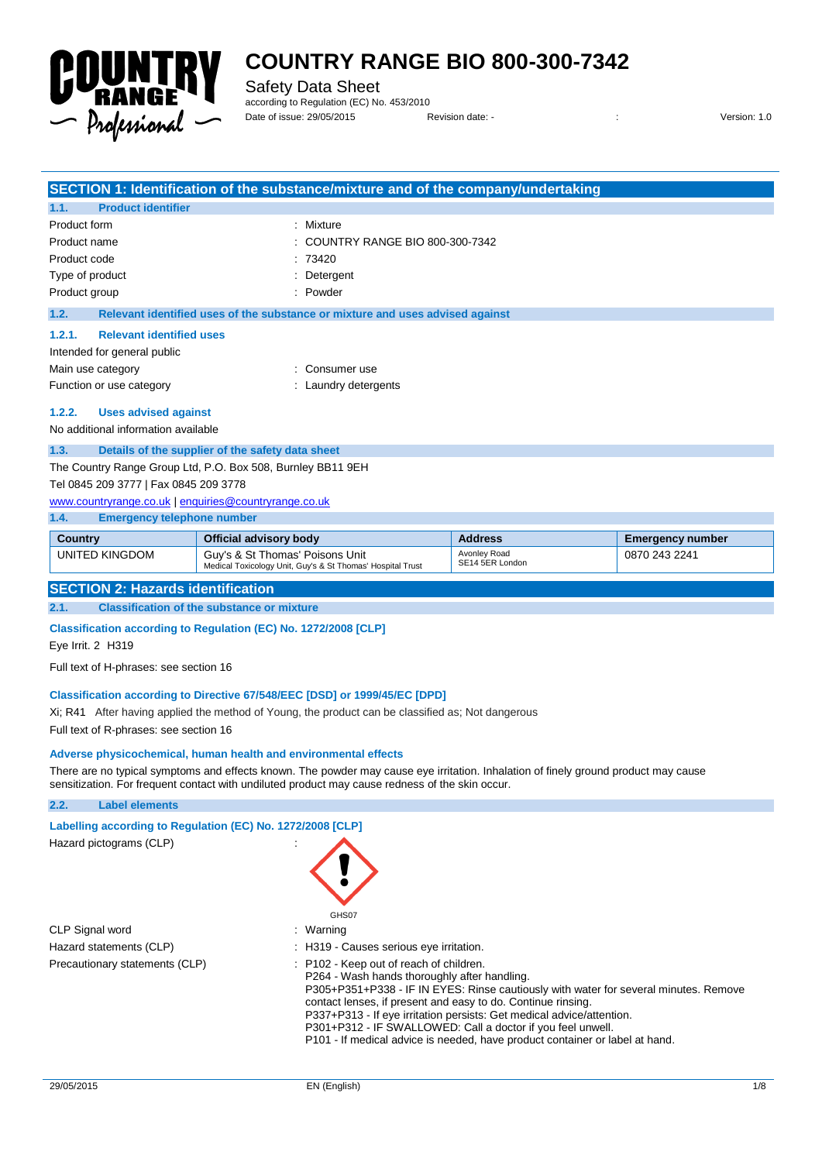

Safety Data Sheet according to Regulation (EC) No. 453/2010

Date of issue: 29/05/2015 Revision date: - : Version: 1.0

|                                                             |                                                  | SECTION 1: Identification of the substance/mixture and of the company/undertaking |
|-------------------------------------------------------------|--------------------------------------------------|-----------------------------------------------------------------------------------|
| 1.1.                                                        | <b>Product identifier</b>                        |                                                                                   |
| Product form                                                |                                                  | Mixture                                                                           |
| Product name                                                |                                                  | COUNTRY RANGE BIO 800-300-7342                                                    |
| Product code                                                |                                                  | 73420                                                                             |
|                                                             | Type of product                                  | Detergent                                                                         |
|                                                             | Product group                                    | Powder                                                                            |
| 1.2.                                                        |                                                  | Relevant identified uses of the substance or mixture and uses advised against     |
| 1.2.1.                                                      | <b>Relevant identified uses</b>                  |                                                                                   |
|                                                             | Intended for general public                      |                                                                                   |
|                                                             | Main use category                                | Consumer use                                                                      |
|                                                             | Function or use category                         | Laundry detergents                                                                |
| 1.2.2.                                                      | <b>Uses advised against</b>                      |                                                                                   |
| No additional information available                         |                                                  |                                                                                   |
| 1.3.                                                        | Details of the supplier of the safety data sheet |                                                                                   |
| The Country Range Group Ltd, P.O. Box 508, Burnley BB11 9EH |                                                  |                                                                                   |
| Tel 0845 209 3777   Fax 0845 209 3778                       |                                                  |                                                                                   |
| www.countryrange.co.uk   enquiries@countryrange.co.uk       |                                                  |                                                                                   |
| 1.4.                                                        | <b>Emergency telephone number</b>                |                                                                                   |

| Country        | Official advisory body                                                                        | <b>Address</b>                  | <b>Emergency number</b> |  |
|----------------|-----------------------------------------------------------------------------------------------|---------------------------------|-------------------------|--|
| UNITED KINGDOM | Guy's & St Thomas' Poisons Unit<br>Medical Toxicology Unit, Guy's & St Thomas' Hospital Trust | Avonlev Road<br>SE14 5ER London | 0870 243 2241           |  |

#### **SECTION 2: Hazards identification**

**2.1. Classification of the substance or mixture**

#### **Classification according to Regulation (EC) No. 1272/2008 [CLP]**

Eye Irrit. 2 H319

Full text of H-phrases: see section 16

#### **Classification according to Directive 67/548/EEC [DSD] or 1999/45/EC [DPD]**

Xi; R41 After having applied the method of Young, the product can be classified as; Not dangerous

Full text of R-phrases: see section 16

#### **Adverse physicochemical, human health and environmental effects**

There are no typical symptoms and effects known. The powder may cause eye irritation. Inhalation of finely ground product may cause sensitization. For frequent contact with undiluted product may cause redness of the skin occur.

#### **2.2. Label elements**

| Labelling according to Regulation (EC) No. 1272/2008 [CLP] |                                                                                                                                                                                                                                                                                                                                                                                                                                                                         |
|------------------------------------------------------------|-------------------------------------------------------------------------------------------------------------------------------------------------------------------------------------------------------------------------------------------------------------------------------------------------------------------------------------------------------------------------------------------------------------------------------------------------------------------------|
| Hazard pictograms (CLP)                                    | GHS07                                                                                                                                                                                                                                                                                                                                                                                                                                                                   |
| CLP Signal word                                            | : Warning                                                                                                                                                                                                                                                                                                                                                                                                                                                               |
| Hazard statements (CLP)                                    | : H319 - Causes serious eye irritation.                                                                                                                                                                                                                                                                                                                                                                                                                                 |
| Precautionary statements (CLP)                             | : P102 - Keep out of reach of children.<br>P264 - Wash hands thoroughly after handling.<br>P305+P351+P338 - IF IN EYES: Rinse cautiously with water for several minutes. Remove<br>contact lenses, if present and easy to do. Continue rinsing.<br>P337+P313 - If eye irritation persists: Get medical advice/attention.<br>P301+P312 - IF SWALLOWED: Call a doctor if you feel unwell.<br>P101 - If medical advice is needed, have product container or label at hand. |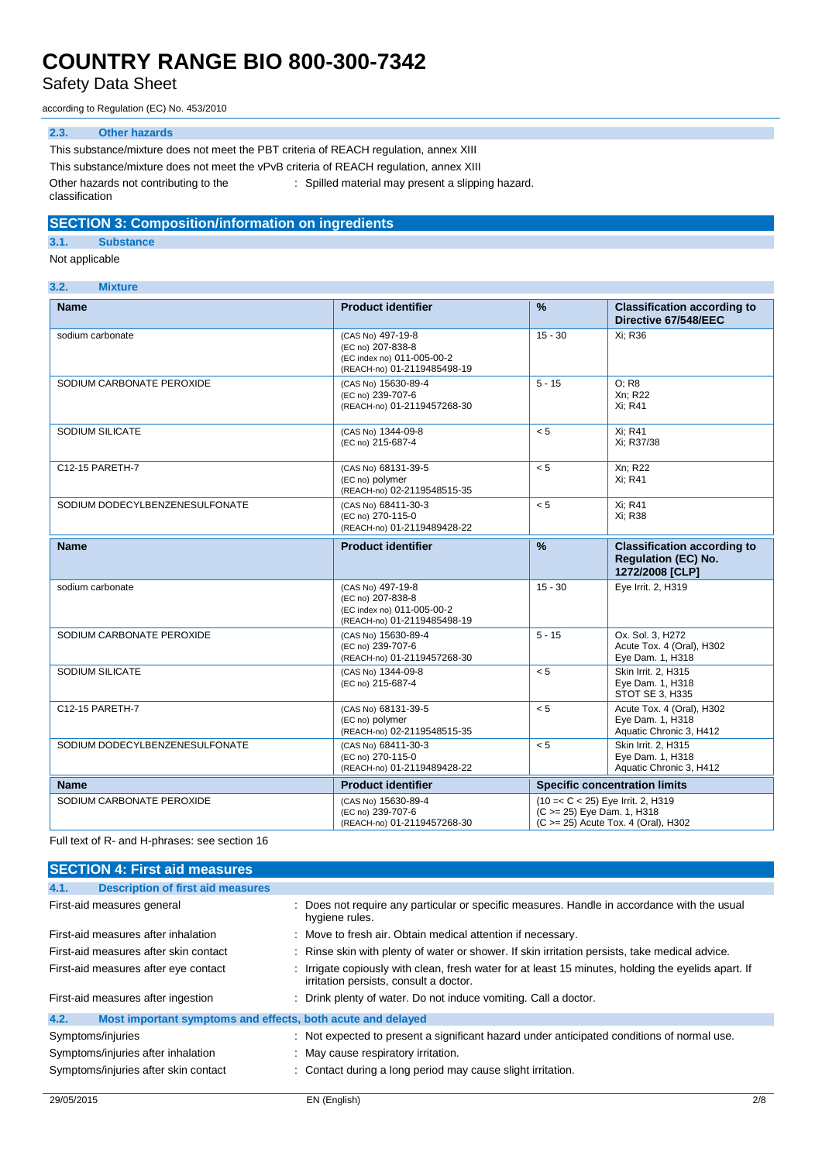Safety Data Sheet

according to Regulation (EC) No. 453/2010

#### **2.3. Other hazards**

This substance/mixture does not meet the PBT criteria of REACH regulation, annex XIII This substance/mixture does not meet the vPvB criteria of REACH regulation, annex XIII Other hazards not contributing to the classification : Spilled material may present a slipping hazard.

### **SECTION 3: Composition/information on ingredients**

**3.1. Substance**

Not applicable

#### **3.2. Mixture**

| <b>Name</b>                    | <b>Product identifier</b>                                                                           | $\frac{9}{6}$                                                                                           | <b>Classification according to</b><br>Directive 67/548/EEC                          |
|--------------------------------|-----------------------------------------------------------------------------------------------------|---------------------------------------------------------------------------------------------------------|-------------------------------------------------------------------------------------|
| sodium carbonate               | (CAS No) 497-19-8<br>(EC no) 207-838-8<br>(EC index no) 011-005-00-2<br>(REACH-no) 01-2119485498-19 | $15 - 30$                                                                                               | Xi: R36                                                                             |
| SODIUM CARBONATE PEROXIDE      | (CAS No) 15630-89-4<br>(EC no) 239-707-6<br>(REACH-no) 01-2119457268-30                             | $5 - 15$                                                                                                | O: R8<br>Xn: R22<br>Xi; R41                                                         |
| SODIUM SILICATE                | (CAS No) 1344-09-8<br>(EC no) 215-687-4                                                             | < 5                                                                                                     | Xi; R41<br>Xi: R37/38                                                               |
| C12-15 PARETH-7                | (CAS No) 68131-39-5<br>(EC no) polymer<br>(REACH-no) 02-2119548515-35                               | < 5                                                                                                     | Xn; R22<br>Xi: R41                                                                  |
| SODIUM DODECYLBENZENESULFONATE | (CAS No) 68411-30-3<br>(EC no) 270-115-0<br>(REACH-no) 01-2119489428-22                             | < 5                                                                                                     | Xi; R41<br>Xi: R38                                                                  |
| <b>Name</b>                    | <b>Product identifier</b>                                                                           | $\frac{9}{6}$                                                                                           | <b>Classification according to</b><br><b>Regulation (EC) No.</b><br>1272/2008 [CLP] |
| sodium carbonate               | (CAS No) 497-19-8<br>(EC no) 207-838-8<br>(EC index no) 011-005-00-2<br>(REACH-no) 01-2119485498-19 | $15 - 30$                                                                                               | Eye Irrit. 2, H319                                                                  |
| SODIUM CARBONATE PEROXIDE      | (CAS No) 15630-89-4<br>(EC no) 239-707-6<br>(REACH-no) 01-2119457268-30                             | $5 - 15$                                                                                                | Ox. Sol. 3. H272<br>Acute Tox. 4 (Oral), H302<br>Eye Dam. 1, H318                   |
| SODIUM SILICATE                | (CAS No) 1344-09-8<br>(EC no) 215-687-4                                                             | < 5                                                                                                     | Skin Irrit. 2. H315<br>Eye Dam. 1, H318<br>STOT SE 3, H335                          |
| C12-15 PARETH-7                | (CAS No) 68131-39-5<br>(EC no) polymer<br>(REACH-no) 02-2119548515-35                               | < 5                                                                                                     | Acute Tox. 4 (Oral), H302<br>Eye Dam. 1, H318<br>Aquatic Chronic 3, H412            |
| SODIUM DODECYLBENZENESULFONATE | (CAS No) 68411-30-3<br>(EC no) 270-115-0<br>(REACH-no) 01-2119489428-22                             | < 5                                                                                                     | Skin Irrit. 2. H315<br>Eye Dam. 1, H318<br>Aquatic Chronic 3, H412                  |
| <b>Name</b>                    | <b>Product identifier</b>                                                                           | <b>Specific concentration limits</b>                                                                    |                                                                                     |
| SODIUM CARBONATE PEROXIDE      | (CAS No) 15630-89-4<br>(EC no) 239-707-6<br>(REACH-no) 01-2119457268-30                             | (10 = < C < 25) Eye Irrit. 2, H319<br>(C >= 25) Eye Dam. 1, H318<br>(C >= 25) Acute Tox. 4 (Oral), H302 |                                                                                     |

Full text of R- and H-phrases: see section 16

| <b>SECTION 4: First aid measures</b>                                |                                                                                                                                             |
|---------------------------------------------------------------------|---------------------------------------------------------------------------------------------------------------------------------------------|
| <b>Description of first aid measures</b><br>4.1.                    |                                                                                                                                             |
| First-aid measures general                                          | : Does not require any particular or specific measures. Handle in accordance with the usual<br>hygiene rules.                               |
| First-aid measures after inhalation                                 | : Move to fresh air. Obtain medical attention if necessary.                                                                                 |
| First-aid measures after skin contact                               | : Rinse skin with plenty of water or shower. If skin irritation persists, take medical advice.                                              |
| First-aid measures after eye contact                                | Irrigate copiously with clean, fresh water for at least 15 minutes, holding the eyelids apart. If<br>irritation persists, consult a doctor. |
| First-aid measures after ingestion                                  | : Drink plenty of water. Do not induce vomiting. Call a doctor.                                                                             |
| Most important symptoms and effects, both acute and delayed<br>4.2. |                                                                                                                                             |
| Symptoms/injuries                                                   | : Not expected to present a significant hazard under anticipated conditions of normal use.                                                  |
| Symptoms/injuries after inhalation                                  | : May cause respiratory irritation.                                                                                                         |
| Symptoms/injuries after skin contact                                | : Contact during a long period may cause slight irritation.                                                                                 |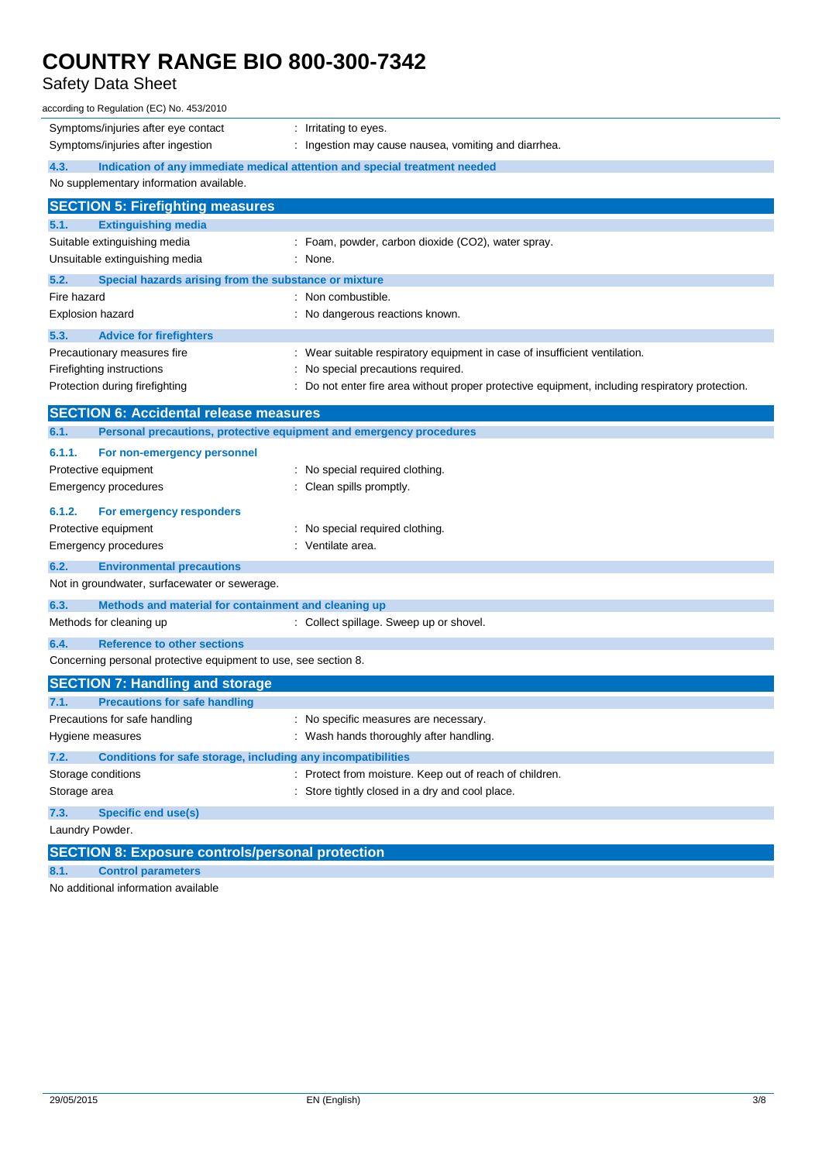### Safety Data Sheet

| according to Regulation (EC) No. 453/2010                                   |                                                                                               |  |  |
|-----------------------------------------------------------------------------|-----------------------------------------------------------------------------------------------|--|--|
| Symptoms/injuries after eye contact                                         | : Irritating to eyes.                                                                         |  |  |
| Symptoms/injuries after ingestion                                           | Ingestion may cause nausea, vomiting and diarrhea.                                            |  |  |
| 4.3.                                                                        | Indication of any immediate medical attention and special treatment needed                    |  |  |
| No supplementary information available.                                     |                                                                                               |  |  |
| <b>SECTION 5: Firefighting measures</b>                                     |                                                                                               |  |  |
| 5.1.<br><b>Extinguishing media</b>                                          |                                                                                               |  |  |
| Suitable extinguishing media                                                | : Foam, powder, carbon dioxide (CO2), water spray.                                            |  |  |
| Unsuitable extinguishing media                                              | : None.                                                                                       |  |  |
| 5.2.<br>Special hazards arising from the substance or mixture               |                                                                                               |  |  |
| Fire hazard                                                                 | : Non combustible.                                                                            |  |  |
| <b>Explosion hazard</b>                                                     | : No dangerous reactions known.                                                               |  |  |
| 5.3.<br><b>Advice for firefighters</b>                                      |                                                                                               |  |  |
| Precautionary measures fire                                                 | : Wear suitable respiratory equipment in case of insufficient ventilation.                    |  |  |
| Firefighting instructions                                                   | : No special precautions required.                                                            |  |  |
| Protection during firefighting                                              | Do not enter fire area without proper protective equipment, including respiratory protection. |  |  |
| <b>SECTION 6: Accidental release measures</b>                               |                                                                                               |  |  |
| Personal precautions, protective equipment and emergency procedures<br>6.1. |                                                                                               |  |  |
| 6.1.1.<br>For non-emergency personnel                                       |                                                                                               |  |  |
| Protective equipment                                                        | : No special required clothing.                                                               |  |  |
| Emergency procedures                                                        | Clean spills promptly.                                                                        |  |  |
| 6.1.2.<br>For emergency responders                                          |                                                                                               |  |  |
| Protective equipment                                                        | : No special required clothing.                                                               |  |  |
| <b>Emergency procedures</b>                                                 | : Ventilate area.                                                                             |  |  |
| 6.2.<br><b>Environmental precautions</b>                                    |                                                                                               |  |  |
| Not in groundwater, surfacewater or sewerage.                               |                                                                                               |  |  |
| 6.3.<br>Methods and material for containment and cleaning up                |                                                                                               |  |  |
| Methods for cleaning up                                                     | : Collect spillage. Sweep up or shovel.                                                       |  |  |
| 6.4.<br><b>Reference to other sections</b>                                  |                                                                                               |  |  |
| Concerning personal protective equipment to use, see section 8.             |                                                                                               |  |  |
| <b>SECTION 7: Handling and storage</b>                                      |                                                                                               |  |  |
| 7.1.<br><b>Precautions for safe handling</b>                                |                                                                                               |  |  |
| Precautions for safe handling                                               | No specific measures are necessary.                                                           |  |  |
| Hygiene measures                                                            | : Wash hands thoroughly after handling.                                                       |  |  |
| 7.2.<br><b>Conditions for safe storage, including any incompatibilities</b> |                                                                                               |  |  |
| Storage conditions                                                          | : Protect from moisture. Keep out of reach of children.                                       |  |  |
| Storage area                                                                | : Store tightly closed in a dry and cool place.                                               |  |  |
| 7.3.<br><b>Specific end use(s)</b>                                          |                                                                                               |  |  |
| Laundry Powder.                                                             |                                                                                               |  |  |
| <b>SECTION 8: Exposure controls/personal protection</b>                     |                                                                                               |  |  |
| 8.1.<br><b>Control parameters</b>                                           |                                                                                               |  |  |
|                                                                             |                                                                                               |  |  |

No additional information available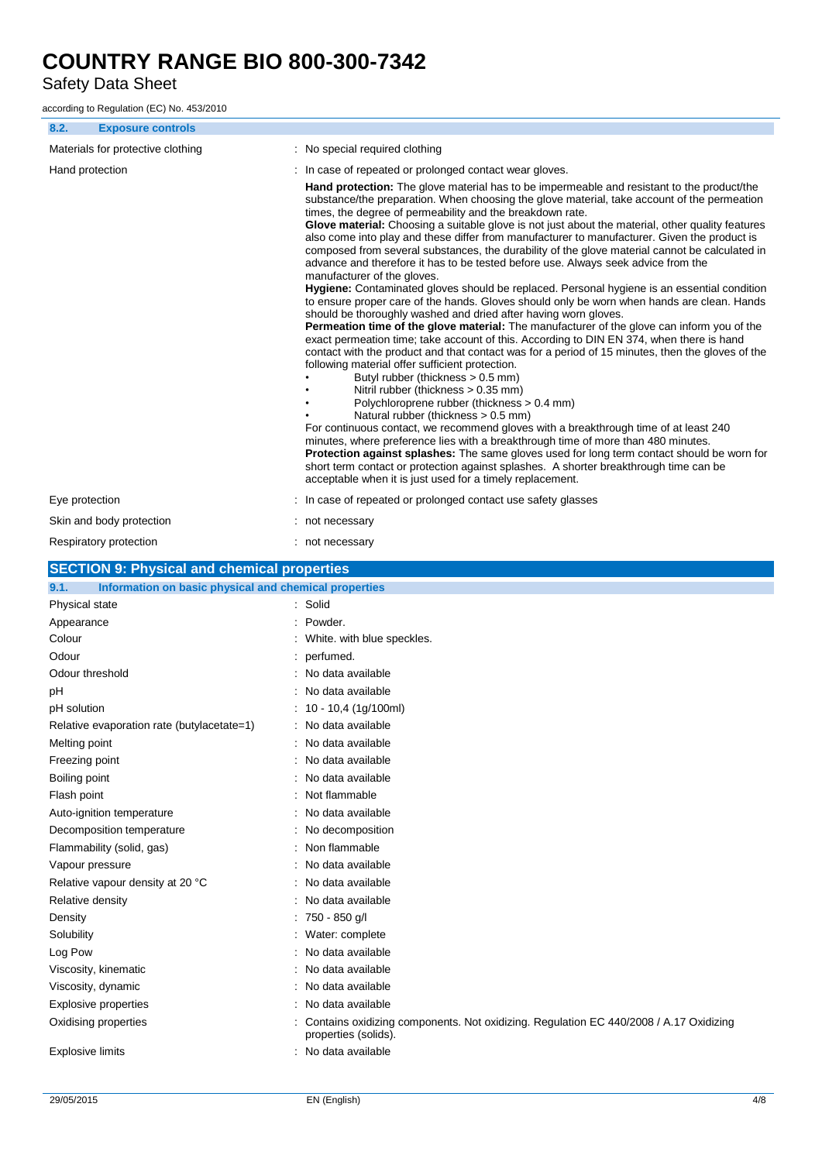Safety Data Sheet

according to Regulation (EC) No. 453/2010

| 8.2.                        | <b>Exposure controls</b>                              |                                                                                                                                                                                                                                                                                                                                                                                                                                                                                                                                                                                                                                                                                                                                                                                                                                                                                                                                                                                                                                                                                                                                                                                                                                                                                                                                                                                                                                                                                                                                                                                                                                                                                                                                                                                                                                                                                                                      |
|-----------------------------|-------------------------------------------------------|----------------------------------------------------------------------------------------------------------------------------------------------------------------------------------------------------------------------------------------------------------------------------------------------------------------------------------------------------------------------------------------------------------------------------------------------------------------------------------------------------------------------------------------------------------------------------------------------------------------------------------------------------------------------------------------------------------------------------------------------------------------------------------------------------------------------------------------------------------------------------------------------------------------------------------------------------------------------------------------------------------------------------------------------------------------------------------------------------------------------------------------------------------------------------------------------------------------------------------------------------------------------------------------------------------------------------------------------------------------------------------------------------------------------------------------------------------------------------------------------------------------------------------------------------------------------------------------------------------------------------------------------------------------------------------------------------------------------------------------------------------------------------------------------------------------------------------------------------------------------------------------------------------------------|
|                             | Materials for protective clothing                     | : No special required clothing                                                                                                                                                                                                                                                                                                                                                                                                                                                                                                                                                                                                                                                                                                                                                                                                                                                                                                                                                                                                                                                                                                                                                                                                                                                                                                                                                                                                                                                                                                                                                                                                                                                                                                                                                                                                                                                                                       |
| Hand protection             |                                                       | In case of repeated or prolonged contact wear gloves.                                                                                                                                                                                                                                                                                                                                                                                                                                                                                                                                                                                                                                                                                                                                                                                                                                                                                                                                                                                                                                                                                                                                                                                                                                                                                                                                                                                                                                                                                                                                                                                                                                                                                                                                                                                                                                                                |
|                             |                                                       | <b>Hand protection:</b> The glove material has to be impermeable and resistant to the product/the<br>substance/the preparation. When choosing the glove material, take account of the permeation<br>times, the degree of permeability and the breakdown rate.<br>Glove material: Choosing a suitable glove is not just about the material, other quality features<br>also come into play and these differ from manufacturer to manufacturer. Given the product is<br>composed from several substances, the durability of the glove material cannot be calculated in<br>advance and therefore it has to be tested before use. Always seek advice from the<br>manufacturer of the gloves.<br>Hygiene: Contaminated gloves should be replaced. Personal hygiene is an essential condition<br>to ensure proper care of the hands. Gloves should only be worn when hands are clean. Hands<br>should be thoroughly washed and dried after having worn gloves.<br>Permeation time of the glove material: The manufacturer of the glove can inform you of the<br>exact permeation time; take account of this. According to DIN EN 374, when there is hand<br>contact with the product and that contact was for a period of 15 minutes, then the gloves of the<br>following material offer sufficient protection.<br>Butyl rubber (thickness > 0.5 mm)<br>Nitril rubber (thickness $> 0.35$ mm)<br>Polychloroprene rubber (thickness > 0.4 mm)<br>Natural rubber (thickness > 0.5 mm)<br>For continuous contact, we recommend gloves with a breakthrough time of at least 240<br>minutes, where preference lies with a breakthrough time of more than 480 minutes.<br><b>Protection against splashes:</b> The same gloves used for long term contact should be worn for<br>short term contact or protection against splashes. A shorter breakthrough time can be<br>acceptable when it is just used for a timely replacement. |
| Eye protection              |                                                       | : In case of repeated or prolonged contact use safety glasses                                                                                                                                                                                                                                                                                                                                                                                                                                                                                                                                                                                                                                                                                                                                                                                                                                                                                                                                                                                                                                                                                                                                                                                                                                                                                                                                                                                                                                                                                                                                                                                                                                                                                                                                                                                                                                                        |
|                             | Skin and body protection                              | : not necessary                                                                                                                                                                                                                                                                                                                                                                                                                                                                                                                                                                                                                                                                                                                                                                                                                                                                                                                                                                                                                                                                                                                                                                                                                                                                                                                                                                                                                                                                                                                                                                                                                                                                                                                                                                                                                                                                                                      |
|                             | Respiratory protection                                | : not necessary                                                                                                                                                                                                                                                                                                                                                                                                                                                                                                                                                                                                                                                                                                                                                                                                                                                                                                                                                                                                                                                                                                                                                                                                                                                                                                                                                                                                                                                                                                                                                                                                                                                                                                                                                                                                                                                                                                      |
|                             | <b>SECTION 9: Physical and chemical properties</b>    |                                                                                                                                                                                                                                                                                                                                                                                                                                                                                                                                                                                                                                                                                                                                                                                                                                                                                                                                                                                                                                                                                                                                                                                                                                                                                                                                                                                                                                                                                                                                                                                                                                                                                                                                                                                                                                                                                                                      |
| 9.1.                        | Information on basic physical and chemical properties |                                                                                                                                                                                                                                                                                                                                                                                                                                                                                                                                                                                                                                                                                                                                                                                                                                                                                                                                                                                                                                                                                                                                                                                                                                                                                                                                                                                                                                                                                                                                                                                                                                                                                                                                                                                                                                                                                                                      |
| Physical state              |                                                       | : Solid                                                                                                                                                                                                                                                                                                                                                                                                                                                                                                                                                                                                                                                                                                                                                                                                                                                                                                                                                                                                                                                                                                                                                                                                                                                                                                                                                                                                                                                                                                                                                                                                                                                                                                                                                                                                                                                                                                              |
| Appearance                  |                                                       | : Powder.                                                                                                                                                                                                                                                                                                                                                                                                                                                                                                                                                                                                                                                                                                                                                                                                                                                                                                                                                                                                                                                                                                                                                                                                                                                                                                                                                                                                                                                                                                                                                                                                                                                                                                                                                                                                                                                                                                            |
| Colour                      |                                                       | : White. with blue speckles.                                                                                                                                                                                                                                                                                                                                                                                                                                                                                                                                                                                                                                                                                                                                                                                                                                                                                                                                                                                                                                                                                                                                                                                                                                                                                                                                                                                                                                                                                                                                                                                                                                                                                                                                                                                                                                                                                         |
| Odour                       |                                                       | perfumed.                                                                                                                                                                                                                                                                                                                                                                                                                                                                                                                                                                                                                                                                                                                                                                                                                                                                                                                                                                                                                                                                                                                                                                                                                                                                                                                                                                                                                                                                                                                                                                                                                                                                                                                                                                                                                                                                                                            |
| Odour threshold             |                                                       | : No data available                                                                                                                                                                                                                                                                                                                                                                                                                                                                                                                                                                                                                                                                                                                                                                                                                                                                                                                                                                                                                                                                                                                                                                                                                                                                                                                                                                                                                                                                                                                                                                                                                                                                                                                                                                                                                                                                                                  |
| рH                          |                                                       | : No data available                                                                                                                                                                                                                                                                                                                                                                                                                                                                                                                                                                                                                                                                                                                                                                                                                                                                                                                                                                                                                                                                                                                                                                                                                                                                                                                                                                                                                                                                                                                                                                                                                                                                                                                                                                                                                                                                                                  |
| pH solution                 |                                                       | $: 10 - 10,4 (1g/100ml)$                                                                                                                                                                                                                                                                                                                                                                                                                                                                                                                                                                                                                                                                                                                                                                                                                                                                                                                                                                                                                                                                                                                                                                                                                                                                                                                                                                                                                                                                                                                                                                                                                                                                                                                                                                                                                                                                                             |
|                             | Relative evaporation rate (butylacetate=1)            | : No data available                                                                                                                                                                                                                                                                                                                                                                                                                                                                                                                                                                                                                                                                                                                                                                                                                                                                                                                                                                                                                                                                                                                                                                                                                                                                                                                                                                                                                                                                                                                                                                                                                                                                                                                                                                                                                                                                                                  |
| Melting point               |                                                       | : No data available                                                                                                                                                                                                                                                                                                                                                                                                                                                                                                                                                                                                                                                                                                                                                                                                                                                                                                                                                                                                                                                                                                                                                                                                                                                                                                                                                                                                                                                                                                                                                                                                                                                                                                                                                                                                                                                                                                  |
| Freezing point              |                                                       | No data available                                                                                                                                                                                                                                                                                                                                                                                                                                                                                                                                                                                                                                                                                                                                                                                                                                                                                                                                                                                                                                                                                                                                                                                                                                                                                                                                                                                                                                                                                                                                                                                                                                                                                                                                                                                                                                                                                                    |
| Boiling point               |                                                       | No data available                                                                                                                                                                                                                                                                                                                                                                                                                                                                                                                                                                                                                                                                                                                                                                                                                                                                                                                                                                                                                                                                                                                                                                                                                                                                                                                                                                                                                                                                                                                                                                                                                                                                                                                                                                                                                                                                                                    |
| Flash point                 |                                                       | Not flammable                                                                                                                                                                                                                                                                                                                                                                                                                                                                                                                                                                                                                                                                                                                                                                                                                                                                                                                                                                                                                                                                                                                                                                                                                                                                                                                                                                                                                                                                                                                                                                                                                                                                                                                                                                                                                                                                                                        |
|                             | Auto-ignition temperature                             | No data available                                                                                                                                                                                                                                                                                                                                                                                                                                                                                                                                                                                                                                                                                                                                                                                                                                                                                                                                                                                                                                                                                                                                                                                                                                                                                                                                                                                                                                                                                                                                                                                                                                                                                                                                                                                                                                                                                                    |
|                             | Decomposition temperature                             | No decomposition                                                                                                                                                                                                                                                                                                                                                                                                                                                                                                                                                                                                                                                                                                                                                                                                                                                                                                                                                                                                                                                                                                                                                                                                                                                                                                                                                                                                                                                                                                                                                                                                                                                                                                                                                                                                                                                                                                     |
|                             | Flammability (solid, gas)                             | : Non flammable                                                                                                                                                                                                                                                                                                                                                                                                                                                                                                                                                                                                                                                                                                                                                                                                                                                                                                                                                                                                                                                                                                                                                                                                                                                                                                                                                                                                                                                                                                                                                                                                                                                                                                                                                                                                                                                                                                      |
| Vapour pressure             |                                                       | No data available                                                                                                                                                                                                                                                                                                                                                                                                                                                                                                                                                                                                                                                                                                                                                                                                                                                                                                                                                                                                                                                                                                                                                                                                                                                                                                                                                                                                                                                                                                                                                                                                                                                                                                                                                                                                                                                                                                    |
|                             | Relative vapour density at 20 °C                      | No data available                                                                                                                                                                                                                                                                                                                                                                                                                                                                                                                                                                                                                                                                                                                                                                                                                                                                                                                                                                                                                                                                                                                                                                                                                                                                                                                                                                                                                                                                                                                                                                                                                                                                                                                                                                                                                                                                                                    |
| Relative density            |                                                       | No data available<br>750 - 850 g/l                                                                                                                                                                                                                                                                                                                                                                                                                                                                                                                                                                                                                                                                                                                                                                                                                                                                                                                                                                                                                                                                                                                                                                                                                                                                                                                                                                                                                                                                                                                                                                                                                                                                                                                                                                                                                                                                                   |
| Density<br>Solubility       |                                                       | Water: complete                                                                                                                                                                                                                                                                                                                                                                                                                                                                                                                                                                                                                                                                                                                                                                                                                                                                                                                                                                                                                                                                                                                                                                                                                                                                                                                                                                                                                                                                                                                                                                                                                                                                                                                                                                                                                                                                                                      |
| Log Pow                     |                                                       | No data available                                                                                                                                                                                                                                                                                                                                                                                                                                                                                                                                                                                                                                                                                                                                                                                                                                                                                                                                                                                                                                                                                                                                                                                                                                                                                                                                                                                                                                                                                                                                                                                                                                                                                                                                                                                                                                                                                                    |
| Viscosity, kinematic        |                                                       | No data available                                                                                                                                                                                                                                                                                                                                                                                                                                                                                                                                                                                                                                                                                                                                                                                                                                                                                                                                                                                                                                                                                                                                                                                                                                                                                                                                                                                                                                                                                                                                                                                                                                                                                                                                                                                                                                                                                                    |
| Viscosity, dynamic          |                                                       | No data available                                                                                                                                                                                                                                                                                                                                                                                                                                                                                                                                                                                                                                                                                                                                                                                                                                                                                                                                                                                                                                                                                                                                                                                                                                                                                                                                                                                                                                                                                                                                                                                                                                                                                                                                                                                                                                                                                                    |
| <b>Explosive properties</b> |                                                       | No data available                                                                                                                                                                                                                                                                                                                                                                                                                                                                                                                                                                                                                                                                                                                                                                                                                                                                                                                                                                                                                                                                                                                                                                                                                                                                                                                                                                                                                                                                                                                                                                                                                                                                                                                                                                                                                                                                                                    |
| Oxidising properties        |                                                       | Contains oxidizing components. Not oxidizing. Regulation EC 440/2008 / A.17 Oxidizing                                                                                                                                                                                                                                                                                                                                                                                                                                                                                                                                                                                                                                                                                                                                                                                                                                                                                                                                                                                                                                                                                                                                                                                                                                                                                                                                                                                                                                                                                                                                                                                                                                                                                                                                                                                                                                |
| <b>Explosive limits</b>     |                                                       | properties (solids).<br>No data available                                                                                                                                                                                                                                                                                                                                                                                                                                                                                                                                                                                                                                                                                                                                                                                                                                                                                                                                                                                                                                                                                                                                                                                                                                                                                                                                                                                                                                                                                                                                                                                                                                                                                                                                                                                                                                                                            |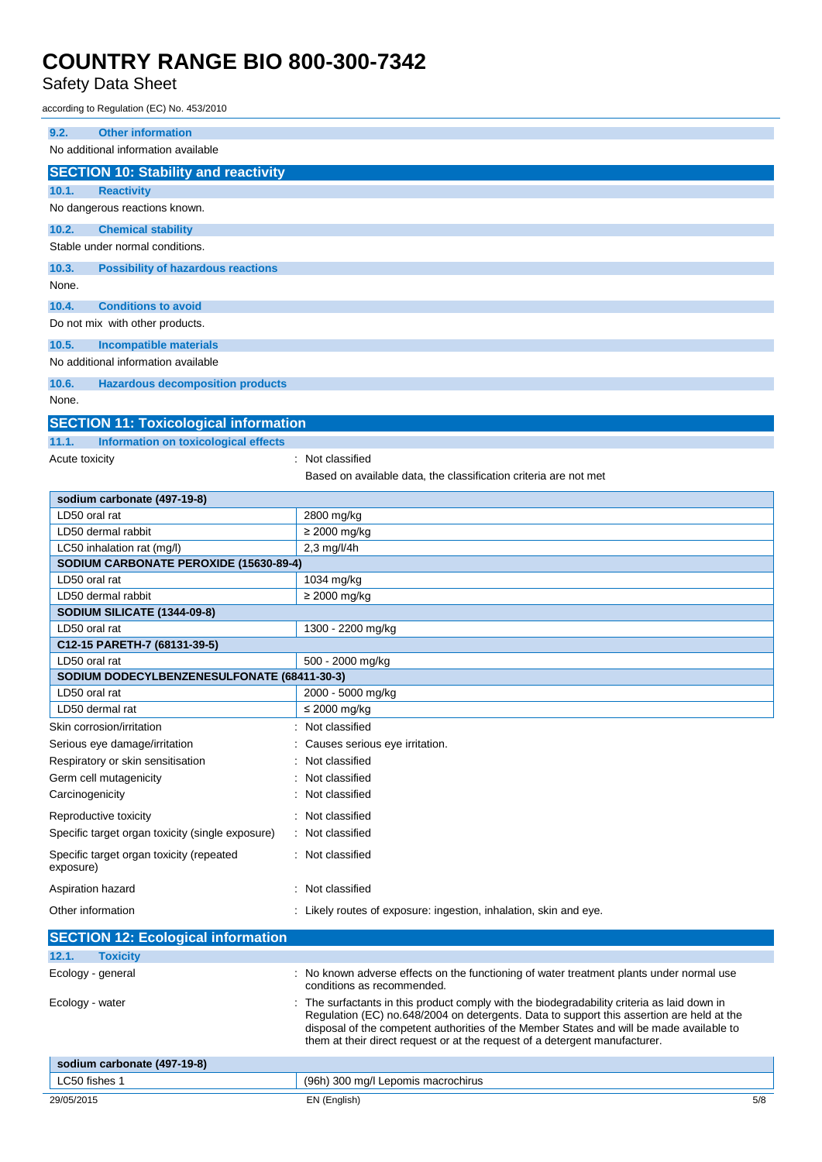### Safety Data Sheet

according to Regulation (EC) No. 453/2010

| 9.2.<br><b>Other information</b>                                     |                                                                                                                                                                                                                                                                                                                                                                   |  |  |
|----------------------------------------------------------------------|-------------------------------------------------------------------------------------------------------------------------------------------------------------------------------------------------------------------------------------------------------------------------------------------------------------------------------------------------------------------|--|--|
| No additional information available                                  |                                                                                                                                                                                                                                                                                                                                                                   |  |  |
| <b>SECTION 10: Stability and reactivity</b>                          |                                                                                                                                                                                                                                                                                                                                                                   |  |  |
| 10.1.<br><b>Reactivity</b>                                           |                                                                                                                                                                                                                                                                                                                                                                   |  |  |
| No dangerous reactions known.                                        |                                                                                                                                                                                                                                                                                                                                                                   |  |  |
| 10.2.<br><b>Chemical stability</b>                                   |                                                                                                                                                                                                                                                                                                                                                                   |  |  |
| Stable under normal conditions.                                      |                                                                                                                                                                                                                                                                                                                                                                   |  |  |
| 10.3.<br><b>Possibility of hazardous reactions</b>                   |                                                                                                                                                                                                                                                                                                                                                                   |  |  |
| None.                                                                |                                                                                                                                                                                                                                                                                                                                                                   |  |  |
| 10.4.<br><b>Conditions to avoid</b>                                  |                                                                                                                                                                                                                                                                                                                                                                   |  |  |
| Do not mix with other products.                                      |                                                                                                                                                                                                                                                                                                                                                                   |  |  |
| 10.5.<br><b>Incompatible materials</b>                               |                                                                                                                                                                                                                                                                                                                                                                   |  |  |
| No additional information available                                  |                                                                                                                                                                                                                                                                                                                                                                   |  |  |
| 10.6.<br><b>Hazardous decomposition products</b>                     |                                                                                                                                                                                                                                                                                                                                                                   |  |  |
| None.                                                                |                                                                                                                                                                                                                                                                                                                                                                   |  |  |
| <b>SECTION 11: Toxicological information</b>                         |                                                                                                                                                                                                                                                                                                                                                                   |  |  |
| Information on toxicological effects<br>11.1.                        |                                                                                                                                                                                                                                                                                                                                                                   |  |  |
| Acute toxicity                                                       | Not classified                                                                                                                                                                                                                                                                                                                                                    |  |  |
|                                                                      | Based on available data, the classification criteria are not met                                                                                                                                                                                                                                                                                                  |  |  |
| sodium carbonate (497-19-8)                                          |                                                                                                                                                                                                                                                                                                                                                                   |  |  |
| LD50 oral rat                                                        | 2800 mg/kg                                                                                                                                                                                                                                                                                                                                                        |  |  |
| LD50 dermal rabbit                                                   | $\geq$ 2000 mg/kg<br>$2,3$ mg/l/4h                                                                                                                                                                                                                                                                                                                                |  |  |
| LC50 inhalation rat (mg/l)<br>SODIUM CARBONATE PEROXIDE (15630-89-4) |                                                                                                                                                                                                                                                                                                                                                                   |  |  |
| LD50 oral rat                                                        | 1034 mg/kg                                                                                                                                                                                                                                                                                                                                                        |  |  |
| LD50 dermal rabbit                                                   | $\geq$ 2000 mg/kg                                                                                                                                                                                                                                                                                                                                                 |  |  |
| SODIUM SILICATE (1344-09-8)                                          |                                                                                                                                                                                                                                                                                                                                                                   |  |  |
| LD50 oral rat                                                        | 1300 - 2200 mg/kg                                                                                                                                                                                                                                                                                                                                                 |  |  |
| C12-15 PARETH-7 (68131-39-5)<br>LD50 oral rat                        |                                                                                                                                                                                                                                                                                                                                                                   |  |  |
| SODIUM DODECYLBENZENESULFONATE (68411-30-3)                          | 500 - 2000 mg/kg                                                                                                                                                                                                                                                                                                                                                  |  |  |
| LD50 oral rat                                                        | 2000 - 5000 mg/kg                                                                                                                                                                                                                                                                                                                                                 |  |  |
| LD50 dermal rat                                                      | $\leq$ 2000 mg/kg                                                                                                                                                                                                                                                                                                                                                 |  |  |
| Skin corrosion/irritation                                            | : Not classified                                                                                                                                                                                                                                                                                                                                                  |  |  |
| Serious eye damage/irritation                                        | Causes serious eye irritation.                                                                                                                                                                                                                                                                                                                                    |  |  |
| Respiratory or skin sensitisation                                    | Not classified                                                                                                                                                                                                                                                                                                                                                    |  |  |
| Germ cell mutagenicity                                               | Not classified                                                                                                                                                                                                                                                                                                                                                    |  |  |
| Carcinogenicity                                                      | Not classified                                                                                                                                                                                                                                                                                                                                                    |  |  |
| Reproductive toxicity                                                | Not classified                                                                                                                                                                                                                                                                                                                                                    |  |  |
| Specific target organ toxicity (single exposure)                     | Not classified                                                                                                                                                                                                                                                                                                                                                    |  |  |
| Specific target organ toxicity (repeated<br>exposure)                | Not classified                                                                                                                                                                                                                                                                                                                                                    |  |  |
| Aspiration hazard                                                    | Not classified                                                                                                                                                                                                                                                                                                                                                    |  |  |
| Other information                                                    | : Likely routes of exposure: ingestion, inhalation, skin and eye.                                                                                                                                                                                                                                                                                                 |  |  |
| <b>SECTION 12: Ecological information</b>                            |                                                                                                                                                                                                                                                                                                                                                                   |  |  |
| 12.1.<br><b>Toxicity</b>                                             |                                                                                                                                                                                                                                                                                                                                                                   |  |  |
| Ecology - general                                                    | No known adverse effects on the functioning of water treatment plants under normal use<br>conditions as recommended.                                                                                                                                                                                                                                              |  |  |
| Ecology - water                                                      | The surfactants in this product comply with the biodegradability criteria as laid down in<br>Regulation (EC) no.648/2004 on detergents. Data to support this assertion are held at the<br>disposal of the competent authorities of the Member States and will be made available to<br>them at their direct request or at the request of a detergent manufacturer. |  |  |
| sodium carbonate (497-19-8)                                          |                                                                                                                                                                                                                                                                                                                                                                   |  |  |
| LC50 fishes 1                                                        | (96h) 300 mg/l Lepomis macrochirus                                                                                                                                                                                                                                                                                                                                |  |  |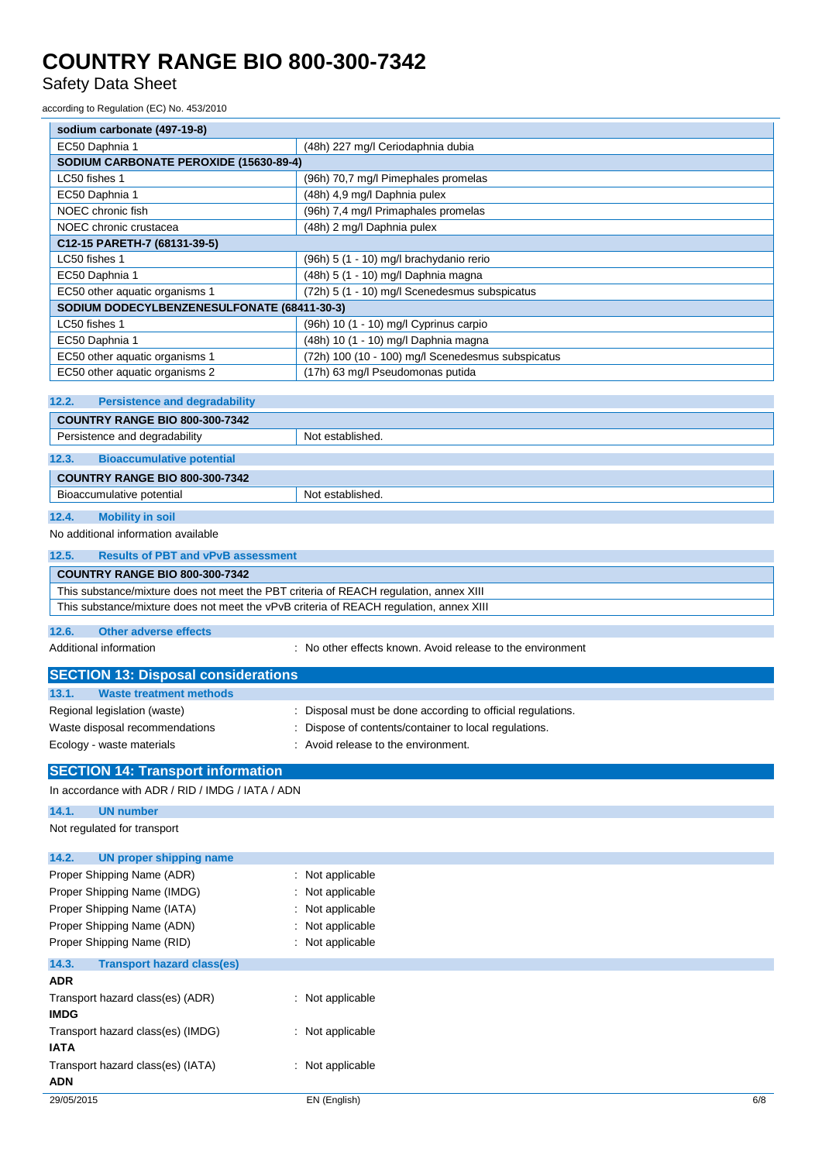Safety Data Sheet

according to Regulation (EC) No. 453/2010

| according to Regulation (LC) NO. 453/2010                                              |                                                                                                                                                                                                                                    |  |  |
|----------------------------------------------------------------------------------------|------------------------------------------------------------------------------------------------------------------------------------------------------------------------------------------------------------------------------------|--|--|
| sodium carbonate (497-19-8)                                                            |                                                                                                                                                                                                                                    |  |  |
| EC50 Daphnia 1                                                                         | (48h) 227 mg/l Ceriodaphnia dubia                                                                                                                                                                                                  |  |  |
| SODIUM CARBONATE PEROXIDE (15630-89-4)                                                 |                                                                                                                                                                                                                                    |  |  |
| LC50 fishes 1                                                                          | (96h) 70,7 mg/l Pimephales promelas                                                                                                                                                                                                |  |  |
| EC50 Daphnia 1                                                                         | (48h) 4,9 mg/l Daphnia pulex                                                                                                                                                                                                       |  |  |
| NOEC chronic fish                                                                      | (96h) 7,4 mg/l Primaphales promelas                                                                                                                                                                                                |  |  |
| NOEC chronic crustacea                                                                 | (48h) 2 mg/l Daphnia pulex                                                                                                                                                                                                         |  |  |
| C12-15 PARETH-7 (68131-39-5)                                                           |                                                                                                                                                                                                                                    |  |  |
| LC50 fishes 1                                                                          | (96h) 5 (1 - 10) mg/l brachydanio rerio                                                                                                                                                                                            |  |  |
| EC50 Daphnia 1                                                                         | (48h) 5 (1 - 10) mg/l Daphnia magna                                                                                                                                                                                                |  |  |
| EC50 other aquatic organisms 1                                                         | (72h) 5 (1 - 10) mg/l Scenedesmus subspicatus                                                                                                                                                                                      |  |  |
| SODIUM DODECYLBENZENESULFONATE (68411-30-3)                                            |                                                                                                                                                                                                                                    |  |  |
| LC50 fishes 1                                                                          | (96h) 10 (1 - 10) mg/l Cyprinus carpio                                                                                                                                                                                             |  |  |
| EC50 Daphnia 1                                                                         | (48h) 10 (1 - 10) mg/l Daphnia magna                                                                                                                                                                                               |  |  |
| EC50 other aquatic organisms 1                                                         | (72h) 100 (10 - 100) mg/l Scenedesmus subspicatus                                                                                                                                                                                  |  |  |
| EC50 other aquatic organisms 2                                                         | (17h) 63 mg/l Pseudomonas putida                                                                                                                                                                                                   |  |  |
|                                                                                        |                                                                                                                                                                                                                                    |  |  |
| 12.2.<br><b>Persistence and degradability</b>                                          |                                                                                                                                                                                                                                    |  |  |
| <b>COUNTRY RANGE BIO 800-300-7342</b>                                                  |                                                                                                                                                                                                                                    |  |  |
| Persistence and degradability                                                          | Not established.                                                                                                                                                                                                                   |  |  |
| 12.3.<br><b>Bioaccumulative potential</b>                                              |                                                                                                                                                                                                                                    |  |  |
| <b>COUNTRY RANGE BIO 800-300-7342</b>                                                  |                                                                                                                                                                                                                                    |  |  |
| Bioaccumulative potential<br>Not established.                                          |                                                                                                                                                                                                                                    |  |  |
| 12.4.<br><b>Mobility in soil</b>                                                       |                                                                                                                                                                                                                                    |  |  |
| No additional information available                                                    |                                                                                                                                                                                                                                    |  |  |
| <b>Results of PBT and vPvB assessment</b><br>12.5.                                     |                                                                                                                                                                                                                                    |  |  |
| <b>COUNTRY RANGE BIO 800-300-7342</b>                                                  |                                                                                                                                                                                                                                    |  |  |
| This substance/mixture does not meet the PBT criteria of REACH regulation, annex XIII  |                                                                                                                                                                                                                                    |  |  |
| This substance/mixture does not meet the vPvB criteria of REACH regulation, annex XIII |                                                                                                                                                                                                                                    |  |  |
| 12.6.<br><b>Other adverse effects</b>                                                  |                                                                                                                                                                                                                                    |  |  |
| Additional information                                                                 | : No other effects known. Avoid release to the environment                                                                                                                                                                         |  |  |
| <b>SECTION 13: Disposal considerations</b>                                             |                                                                                                                                                                                                                                    |  |  |
| <b>Waste treatment methods</b><br>13.1.                                                |                                                                                                                                                                                                                                    |  |  |
| Regional legislation (waste)                                                           | : Disposal must be done according to official regulations.                                                                                                                                                                         |  |  |
| Waste disposal recommendations                                                         | : Dispose of contents/container to local regulations.                                                                                                                                                                              |  |  |
| .                                                                                      | $\bullet$ . The second contract of the second contract of the second contract of the second contract of the second contract of the second contract of the second contract of the second contract of the second contract of the sec |  |  |

### 29/05/2015 EN (English) 6/8 Ecology - waste materials **Example 20** in Avoid release to the environment. **SECTION 14: Transport information** In accordance with ADR / RID / IMDG / IATA / ADN **14.1. UN number** Not regulated for transport **14.2. UN proper shipping name** Proper Shipping Name (ADR) : Not applicable Proper Shipping Name (IMDG) : Not applicable Proper Shipping Name (IATA) : Not applicable Proper Shipping Name (ADN) : Not applicable Proper Shipping Name (RID) : Not applicable **14.3. Transport hazard class(es) ADR** Transport hazard class(es) (ADR) : Not applicable **IMDG** Transport hazard class(es) (IMDG) : Not applicable **IATA** Transport hazard class(es) (IATA) : Not applicable **ADN**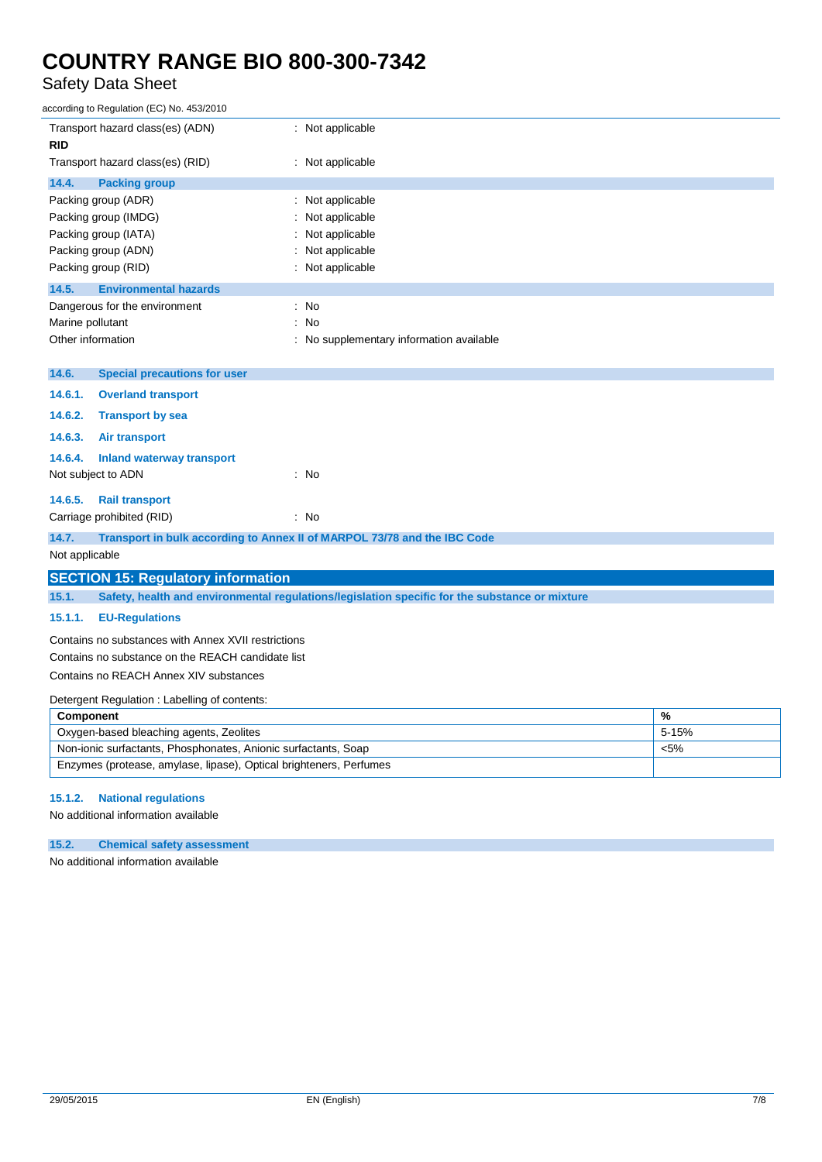### Safety Data Sheet

| according to Regulation (EC) No. 453/2010                                                               |                                          |  |  |
|---------------------------------------------------------------------------------------------------------|------------------------------------------|--|--|
| Transport hazard class(es) (ADN)<br><b>RID</b>                                                          | : Not applicable                         |  |  |
| Transport hazard class(es) (RID)                                                                        | : Not applicable                         |  |  |
| 14.4.<br><b>Packing group</b>                                                                           |                                          |  |  |
| Packing group (ADR)                                                                                     | : Not applicable                         |  |  |
| Packing group (IMDG)<br>Packing group (IATA)                                                            | Not applicable<br>Not applicable         |  |  |
| Packing group (ADN)                                                                                     | Not applicable                           |  |  |
| Packing group (RID)                                                                                     | : Not applicable                         |  |  |
| 14.5.<br><b>Environmental hazards</b>                                                                   |                                          |  |  |
| Dangerous for the environment                                                                           | : No                                     |  |  |
| Marine pollutant                                                                                        | : No                                     |  |  |
| Other information                                                                                       | : No supplementary information available |  |  |
| 14.6.<br><b>Special precautions for user</b>                                                            |                                          |  |  |
| 14.6.1.<br><b>Overland transport</b>                                                                    |                                          |  |  |
| 14.6.2.<br><b>Transport by sea</b>                                                                      |                                          |  |  |
| 14.6.3.<br>Air transport                                                                                |                                          |  |  |
| 14.6.4.<br><b>Inland waterway transport</b>                                                             |                                          |  |  |
| Not subject to ADN                                                                                      | : No                                     |  |  |
| 14.6.5.<br><b>Rail transport</b>                                                                        |                                          |  |  |
| Carriage prohibited (RID)                                                                               | $\therefore$ No                          |  |  |
| 14.7.<br>Transport in bulk according to Annex II of MARPOL 73/78 and the IBC Code                       |                                          |  |  |
| Not applicable                                                                                          |                                          |  |  |
| <b>SECTION 15: Regulatory information</b>                                                               |                                          |  |  |
| 15.1.<br>Safety, health and environmental regulations/legislation specific for the substance or mixture |                                          |  |  |
| 15.1.1.<br><b>EU-Regulations</b>                                                                        |                                          |  |  |
| Contains no substances with Annex XVII restrictions                                                     |                                          |  |  |
| Contains no substance on the REACH candidate list                                                       |                                          |  |  |
| Contains no REACH Annex XIV substances                                                                  |                                          |  |  |
| Detergent Regulation: Labelling of contents:                                                            |                                          |  |  |
| %<br><b>Component</b><br>Oxygen-based bleaching agents, Zeolites<br>5-15%                               |                                          |  |  |
| Non-ionic surfactants, Phosphonates, Anionic surfactants, Soap<br>$< 5\%$                               |                                          |  |  |
| Enzymes (protease, amylase, lipase), Optical brighteners, Perfumes                                      |                                          |  |  |
|                                                                                                         |                                          |  |  |

### **15.1.2. National regulations**

No additional information available

### **15.2. Chemical safety assessment**

No additional information available